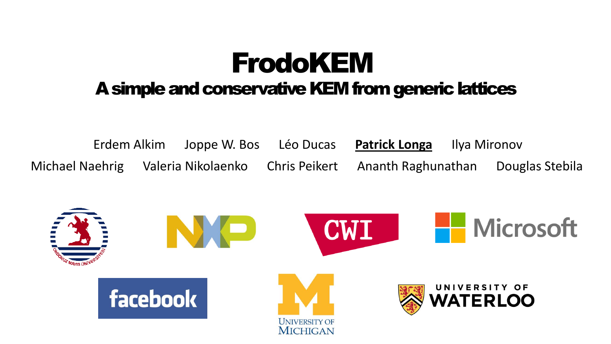## FrodoKEM A simple and conservative KEM from generic lattices

Erdem Alkim Joppe W. Bos Léo Ducas **Patrick Longa** Ilya Mironov Michael Naehrig Valeria Nikolaenko Chris Peikert Ananth Raghunathan Douglas Stebila

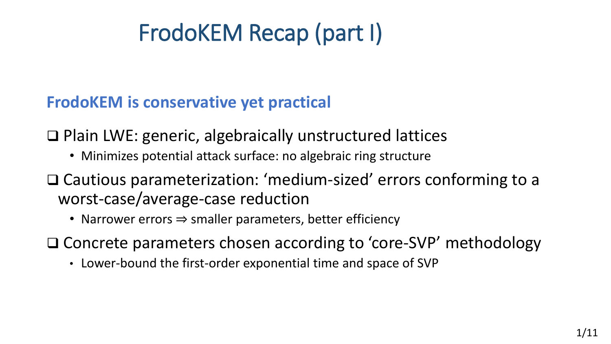# FrodoKEM Recap (part I)

**FrodoKEM is conservative yet practical**

❑ Plain LWE: generic, algebraically unstructured lattices

- Minimizes potential attack surface: no algebraic ring structure
- ❑ Cautious parameterization: 'medium-sized' errors conforming to a worst-case/average-case reduction
	- Narrower errors ⇒ smaller parameters, better efficiency

❑ Concrete parameters chosen according to 'core-SVP' methodology

• Lower-bound the first-order exponential time and space of SVP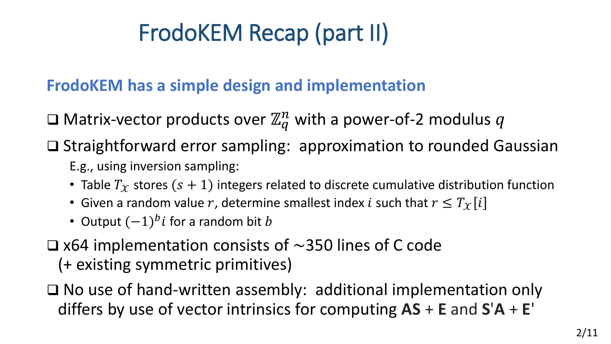# FrodoKEM Recap (part II)

#### **FrodoKEM has a simple design and implementation**

 $\square$  Matrix-vector products over  $\mathbb{Z}_q^n$  with a power-of-2 modulus  $q$ 

❑ Straightforward error sampling: approximation to rounded Gaussian

- E.g., using inversion sampling:
- Table  $T_X$  stores  $(s + 1)$  integers related to discrete cumulative distribution function
- Given a random value r, determine smallest index *i* such that  $r \leq T_x[i]$
- Output  $(-1)^{b}i$  for a random bit  $b$
- □ x64 implementation consists of  $\sim$ 350 lines of C code (+ existing symmetric primitives)
- ❑ No use of hand-written assembly: additional implementation only differs by use of vector intrinsics for computing **AS** + **E** and **S**'**A** + **E**'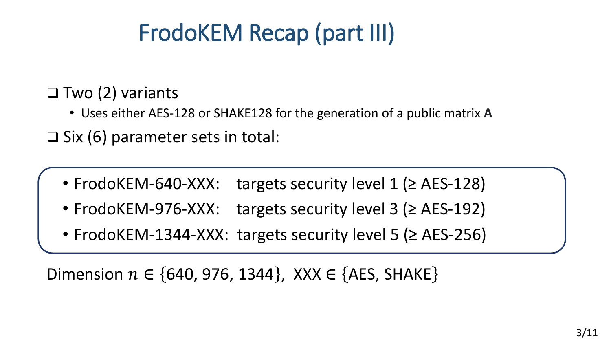# FrodoKEM Recap (part III)

#### ❑ Two (2) variants

• Uses either AES-128 or SHAKE128 for the generation of a public matrix **A**

❑ Six (6) parameter sets in total:

- FrodoKEM-640-XXX: targets security level 1 (≥ AES-128)
- FrodoKEM-976-XXX: targets security level 3 (≥ AES-192)
- FrodoKEM-1344-XXX: targets security level 5 (≥ AES-256)

Dimension  $n \in \{640, 976, 1344\}$ , XXX  $\in \{AES, SHAKE\}$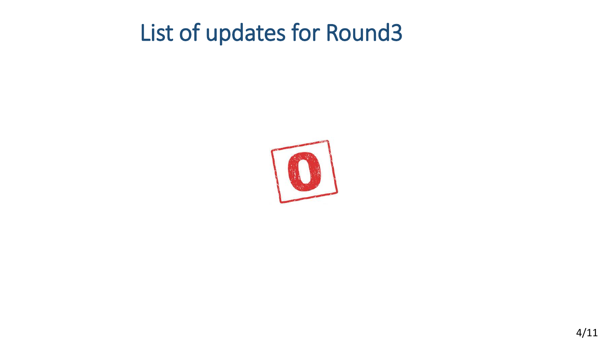## List of updates for Round3

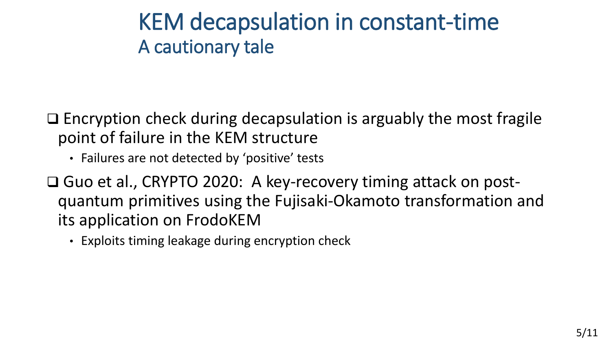### KEM decapsulation in constant-time A cautionary tale

❑ Encryption check during decapsulation is arguably the most fragile point of failure in the KEM structure

- Failures are not detected by 'positive' tests
- ❑ Guo et al., CRYPTO 2020: A key-recovery timing attack on postquantum primitives using the Fujisaki-Okamoto transformation and its application on FrodoKEM
	- Exploits timing leakage during encryption check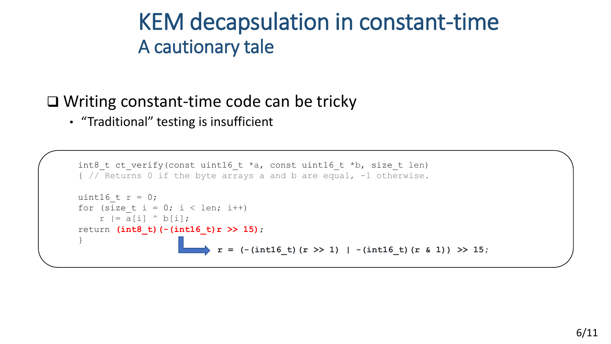### KEM decapsulation in constant-time A cautionary tale

#### ❑ Writing constant-time code can be tricky

• "Traditional" testing is insufficient

```
int8 t ct verify(const uint16 t *a, const uint16 t *b, size t len)
{ // Returns 0 if the byte arrays a and b are equal, -1 otherwise.
uint16 t r = 0;
for (size t i = 0; i < len; i++)
    r = a[i] \land b[i];return (int8_t)(-(int16_t)r >> 15);
}
                            r = (-<i>int</i>16 t) (r >> 1) | -(<i>int</i>16 t) (r & 1) >> 15;
```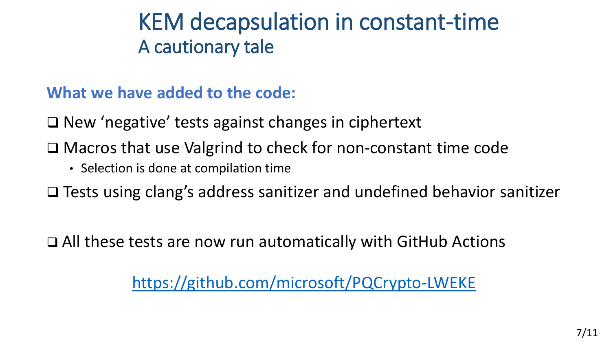### KEM decapsulation in constant-time A cautionary tale

**What we have added to the code:**

❑ New 'negative' tests against changes in ciphertext

❑ Macros that use Valgrind to check for non-constant time code

• Selection is done at compilation time

❑ Tests using clang's address sanitizer and undefined behavior sanitizer

❑ All these tests are now run automatically with GitHub Actions

<https://github.com/microsoft/PQCrypto-LWEKE>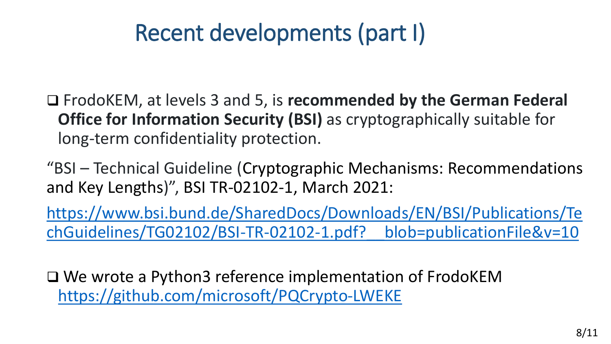## Recent developments (part I)

❑ FrodoKEM, at levels 3 and 5, is **recommended by the German Federal Office for Information Security (BSI)** as cryptographically suitable for long-term confidentiality protection.

"BSI – Technical Guideline (Cryptographic Mechanisms: Recommendations and Key Lengths)", BSI TR-02102-1, March 2021:

[https://www.bsi.bund.de/SharedDocs/Downloads/EN/BSI/Publications/Te](https://www.bsi.bund.de/SharedDocs/Downloads/EN/BSI/Publications/TechGuidelines/TG02102/BSI-TR-02102-1.pdf?__blob=publicationFile&v=10) chGuidelines/TG02102/BSI-TR-02102-1.pdf?\_\_blob=publicationFile&v=10

❑ We wrote a Python3 reference implementation of FrodoKEM <https://github.com/microsoft/PQCrypto-LWEKE>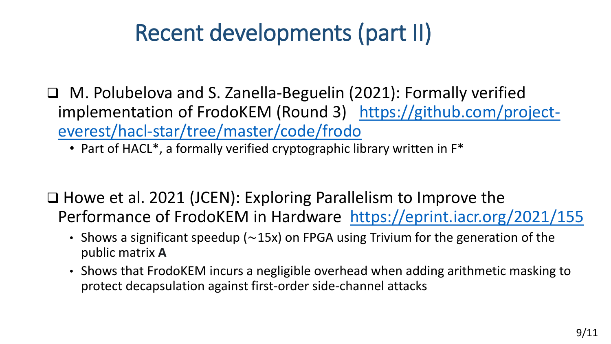# Recent developments (part II)

- ❑ M. Polubelova and S. Zanella-Beguelin (2021): Formally verified implementation of FrodoKEM (Round 3) https://github.com/project[everest/hacl-star/tree/master/code/frodo](https://github.com/project-everest/hacl-star/tree/master/code/frodo)
	- Part of HACL<sup>\*</sup>, a formally verified cryptographic library written in F<sup>\*</sup>

❑ Howe et al. 2021 (JCEN): Exploring Parallelism to Improve the Performance of FrodoKEM in Hardware <https://eprint.iacr.org/2021/155>

- Shows a significant speedup ( $\sim$ 15x) on FPGA using Trivium for the generation of the public matrix **A**
- Shows that FrodoKEM incurs a negligible overhead when adding arithmetic masking to protect decapsulation against first-order side-channel attacks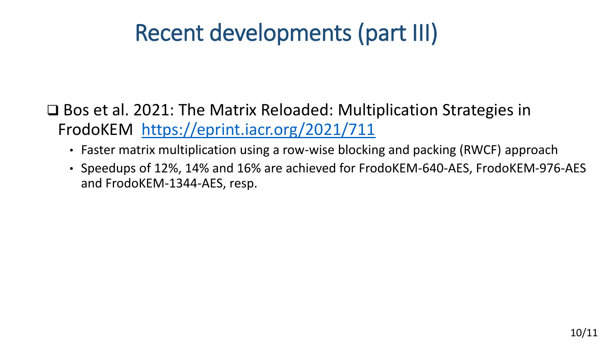# Recent developments (part III)

❑ Bos et al. 2021: The Matrix Reloaded: Multiplication Strategies in FrodoKEM <https://eprint.iacr.org/2021/711>

- Faster matrix multiplication using a row-wise blocking and packing (RWCF) approach
- Speedups of 12%, 14% and 16% are achieved for FrodoKEM-640-AES, FrodoKEM-976-AES and FrodoKEM-1344-AES, resp.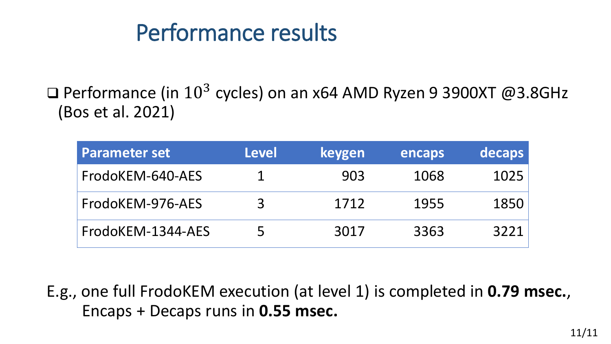## Performance results

□ Performance (in  $10^3$  cycles) on an x64 AMD Ryzen 9 3900XT @3.8GHz (Bos et al. 2021)

| <b>Parameter set</b> | <b>Level</b> | keygen | encaps | decaps |
|----------------------|--------------|--------|--------|--------|
| FrodoKEM-640-AES     |              | 903    | 1068   | 1025   |
| FrodoKEM-976-AES     | 3            | 1712   | 1955   | 1850   |
| FrodoKEM-1344-AES    | 5            | 3017   | 3363   | 3221   |

E.g., one full FrodoKEM execution (at level 1) is completed in **0.79 msec.**, \_\_\_\_Encaps + Decaps runs in **0.55 msec.**